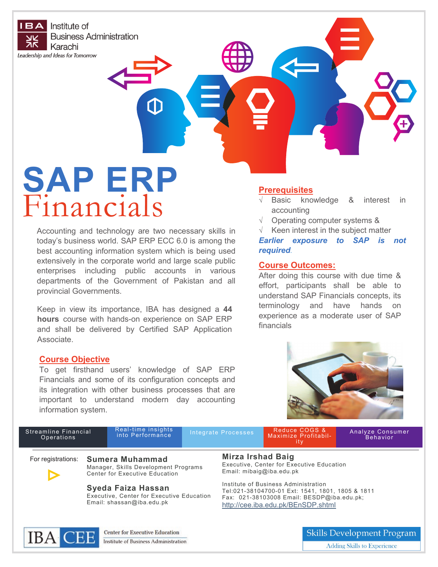**IBA** Institute of **Business Administration** Karachi

Leadership and Ideas for Tomorrow

# **SAP ERP** Financials

Accounting and technology are two necessary skills in today's business world. SAP ERP ECC 6.0 is among the best accounting information system which is being used extensively in the corporate world and large scale public enterprises including public accounts in various departments of the Government of Pakistan and all provincial Governments.

Keep in view its importance, IBA has designed a **44 hours** course with hands-on experience on SAP ERP and shall be delivered by Certified SAP Application Associate.

### **Course Objective**

To get firsthand users' knowledge of SAP ERP Financials and some of its configuration concepts and its integration with other business processes that are important to understand modern day accounting information system.

### **Prerequisites**

- $\sqrt{ }$  Basic knowledge & interest in accounting
- $\sqrt{ }$  Operating computer systems &
- $\sqrt{ }$  Keen interest in the subject matter

*Earlier exposure to SAP is not required.*

#### **Course Outcomes:**

After doing this course with due time & effort, participants shall be able to understand SAP Financials concepts, its terminology and have hands on experience as a moderate user of SAP financials



| Streamline Financial<br>Operations |                                                                                                              | Real-time insights<br>into Performance |  | Integrate Processes                                                                                                                                                          | Reduce COGS &<br>Maximize Profitabil-<br>-ity | Analyze Consumer<br>Behavior      |
|------------------------------------|--------------------------------------------------------------------------------------------------------------|----------------------------------------|--|------------------------------------------------------------------------------------------------------------------------------------------------------------------------------|-----------------------------------------------|-----------------------------------|
|                                    | For registrations: Sumera Muhammad<br>Manager, Skills Development Programs<br>Center for Executive Education |                                        |  | <b>Mirza Irshad Baig</b><br>Executive, Center for Executive Education<br>Email: $mibaiq@iba.edu.bk$                                                                          |                                               |                                   |
|                                    | Syeda Faiza Hassan<br>Executive, Center for Executive Education<br>Email: shassan@iba.edu.pk                 |                                        |  | Institute of Business Administration<br>Tel:021-38104700-01 Ext: 1541, 1801, 1805 & 1811<br>Fax: 021-38103008 Email: BESDP@iba.edu.pk;<br>http://cee.iba.edu.pk/BEnSDP.shtml |                                               |                                   |
| TT.                                |                                                                                                              | <b>Center for Executive Education</b>  |  |                                                                                                                                                                              |                                               | <b>Skills Development Program</b> |

**IBA CEE** Institute of Business Administration

Skills Development Program Adding Skills to Experience